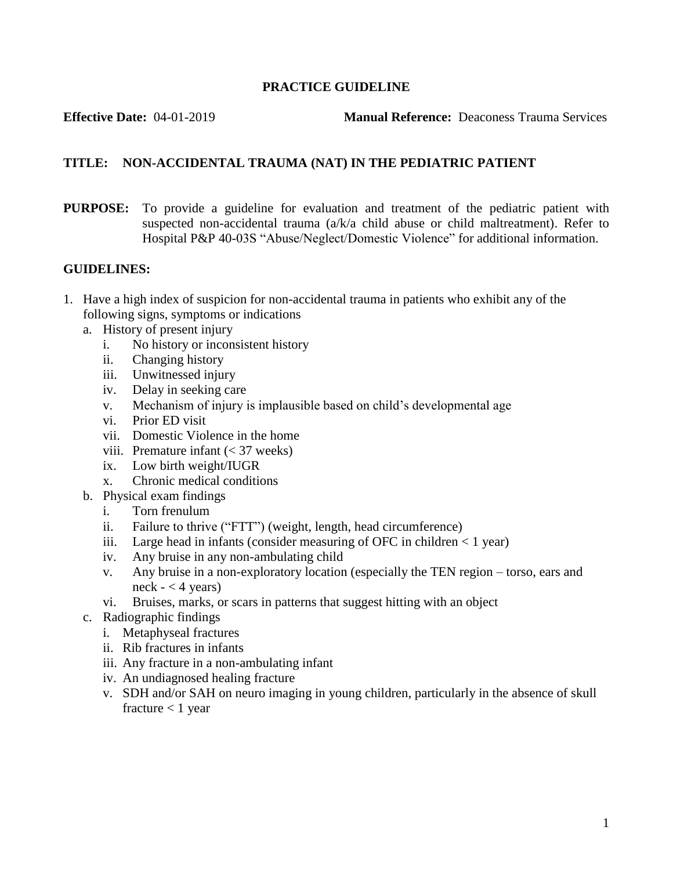#### **PRACTICE GUIDELINE**

**Effective Date:** 04-01-2019 **Manual Reference:** Deaconess Trauma Services

# **TITLE: NON-ACCIDENTAL TRAUMA (NAT) IN THE PEDIATRIC PATIENT**

**PURPOSE:** To provide a guideline for evaluation and treatment of the pediatric patient with suspected non-accidental trauma (a/k/a child abuse or child maltreatment). Refer to Hospital P&P 40-03S "Abuse/Neglect/Domestic Violence" for additional information.

### **GUIDELINES:**

- 1. Have a high index of suspicion for non-accidental trauma in patients who exhibit any of the following signs, symptoms or indications
	- a. History of present injury
		- i. No history or inconsistent history
		- ii. Changing history
		- iii. Unwitnessed injury
		- iv. Delay in seeking care
		- v. Mechanism of injury is implausible based on child's developmental age
		- vi. Prior ED visit
		- vii. Domestic Violence in the home
		- viii. Premature infant  $(< 37$  weeks)
		- ix. Low birth weight/IUGR
		- x. Chronic medical conditions
	- b. Physical exam findings
		- i. Torn frenulum
		- ii. Failure to thrive ("FTT") (weight, length, head circumference)
		- iii. Large head in infants (consider measuring of OFC in children  $< 1$  year)
		- iv. Any bruise in any non-ambulating child
		- v. Any bruise in a non-exploratory location (especially the TEN region torso, ears and neck  $- < 4$  years)
		- vi. Bruises, marks, or scars in patterns that suggest hitting with an object
	- c. Radiographic findings
		- i. Metaphyseal fractures
		- ii. Rib fractures in infants
		- iii. Any fracture in a non-ambulating infant
		- iv. An undiagnosed healing fracture
		- v. SDH and/or SAH on neuro imaging in young children, particularly in the absence of skull fracture  $< 1$  year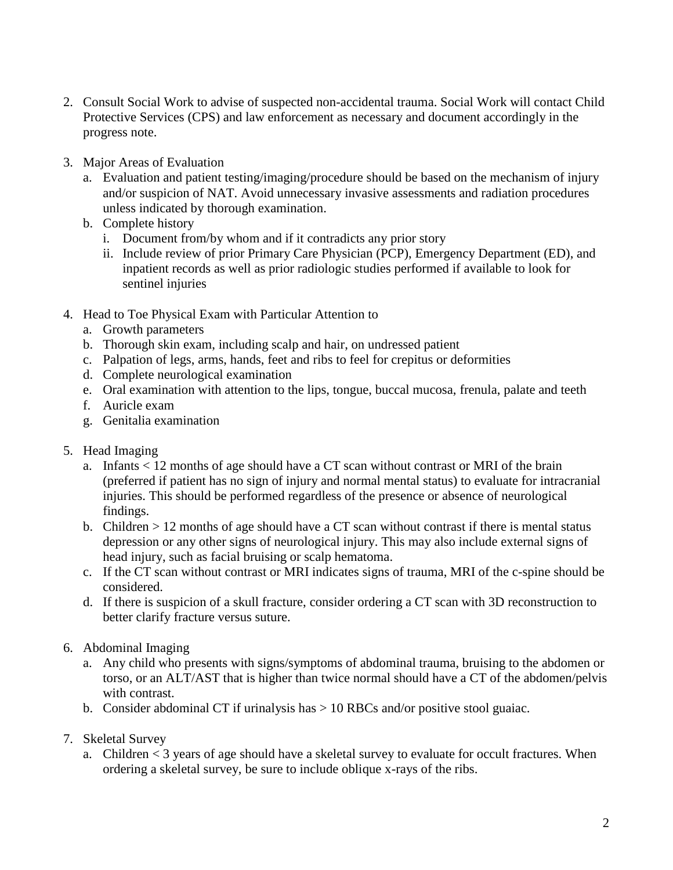- 2. Consult Social Work to advise of suspected non-accidental trauma. Social Work will contact Child Protective Services (CPS) and law enforcement as necessary and document accordingly in the progress note.
- 3. Major Areas of Evaluation
	- a. Evaluation and patient testing/imaging/procedure should be based on the mechanism of injury and/or suspicion of NAT. Avoid unnecessary invasive assessments and radiation procedures unless indicated by thorough examination.
	- b. Complete history
		- i. Document from/by whom and if it contradicts any prior story
		- ii. Include review of prior Primary Care Physician (PCP), Emergency Department (ED), and inpatient records as well as prior radiologic studies performed if available to look for sentinel injuries
- 4. Head to Toe Physical Exam with Particular Attention to
	- a. Growth parameters
	- b. Thorough skin exam, including scalp and hair, on undressed patient
	- c. Palpation of legs, arms, hands, feet and ribs to feel for crepitus or deformities
	- d. Complete neurological examination
	- e. Oral examination with attention to the lips, tongue, buccal mucosa, frenula, palate and teeth
	- f. Auricle exam
	- g. Genitalia examination
- 5. Head Imaging
	- a. Infants < 12 months of age should have a CT scan without contrast or MRI of the brain (preferred if patient has no sign of injury and normal mental status) to evaluate for intracranial injuries. This should be performed regardless of the presence or absence of neurological findings.
	- b. Children > 12 months of age should have a CT scan without contrast if there is mental status depression or any other signs of neurological injury. This may also include external signs of head injury, such as facial bruising or scalp hematoma.
	- c. If the CT scan without contrast or MRI indicates signs of trauma, MRI of the c-spine should be considered.
	- d. If there is suspicion of a skull fracture, consider ordering a CT scan with 3D reconstruction to better clarify fracture versus suture.
- 6. Abdominal Imaging
	- a. Any child who presents with signs/symptoms of abdominal trauma, bruising to the abdomen or torso, or an ALT/AST that is higher than twice normal should have a CT of the abdomen/pelvis with contrast.
	- b. Consider abdominal CT if urinalysis has  $> 10$  RBCs and/or positive stool guaiac.
- 7. Skeletal Survey
	- a. Children < 3 years of age should have a skeletal survey to evaluate for occult fractures. When ordering a skeletal survey, be sure to include oblique x-rays of the ribs.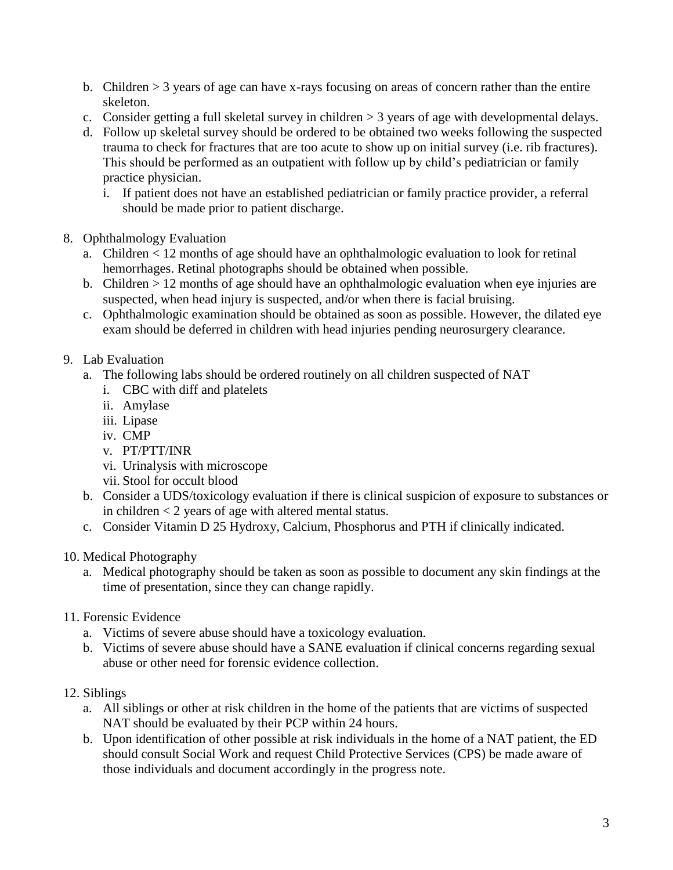- b. Children > 3 years of age can have x-rays focusing on areas of concern rather than the entire skeleton.
- c. Consider getting a full skeletal survey in children > 3 years of age with developmental delays.
- d. Follow up skeletal survey should be ordered to be obtained two weeks following the suspected trauma to check for fractures that are too acute to show up on initial survey (i.e. rib fractures). This should be performed as an outpatient with follow up by child's pediatrician or family practice physician.
	- i. If patient does not have an established pediatrician or family practice provider, a referral should be made prior to patient discharge.
- 8. Ophthalmology Evaluation
	- a. Children < 12 months of age should have an ophthalmologic evaluation to look for retinal hemorrhages. Retinal photographs should be obtained when possible.
	- b. Children  $> 12$  months of age should have an ophthalmologic evaluation when eye injuries are suspected, when head injury is suspected, and/or when there is facial bruising.
	- c. Ophthalmologic examination should be obtained as soon as possible. However, the dilated eye exam should be deferred in children with head injuries pending neurosurgery clearance.
- 9. Lab Evaluation
	- a. The following labs should be ordered routinely on all children suspected of NAT
		- i. CBC with diff and platelets
		- ii. Amylase
		- iii. Lipase
		- iv. CMP
		- v. PT/PTT/INR
		- vi. Urinalysis with microscope
		- vii. Stool for occult blood
	- b. Consider a UDS/toxicology evaluation if there is clinical suspicion of exposure to substances or in children < 2 years of age with altered mental status.
	- c. Consider Vitamin D 25 Hydroxy, Calcium, Phosphorus and PTH if clinically indicated.
- 10. Medical Photography
	- a. Medical photography should be taken as soon as possible to document any skin findings at the time of presentation, since they can change rapidly.
- 11. Forensic Evidence
	- a. Victims of severe abuse should have a toxicology evaluation.
	- b. Victims of severe abuse should have a SANE evaluation if clinical concerns regarding sexual abuse or other need for forensic evidence collection.
- 12. Siblings
	- a. All siblings or other at risk children in the home of the patients that are victims of suspected NAT should be evaluated by their PCP within 24 hours.
	- b. Upon identification of other possible at risk individuals in the home of a NAT patient, the ED should consult Social Work and request Child Protective Services (CPS) be made aware of those individuals and document accordingly in the progress note.